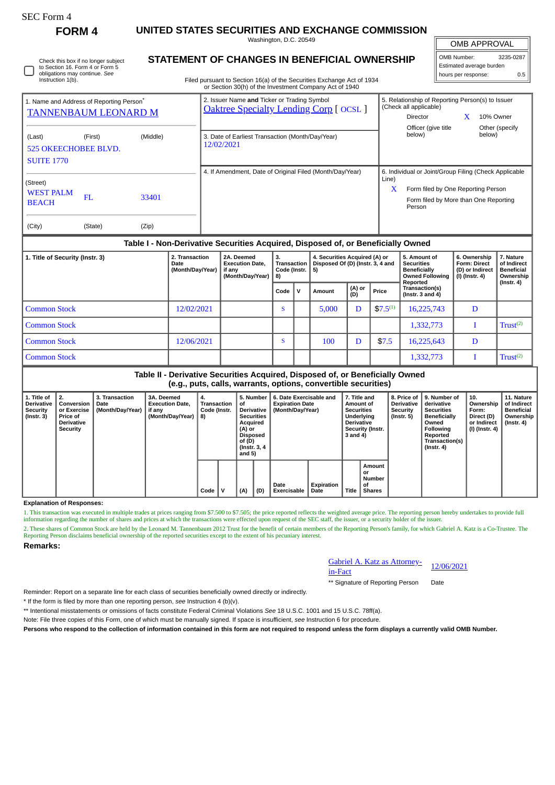| SEC Form- |
|-----------|
|-----------|

Г

**FORM 4 UNITED STATES SECURITIES AND EXCHANGE COMMISSION**

Washington, D.C. 20549

OMB APPROVAL  $\sqrt{\frac{1}{\sqrt{10}} \sqrt{\frac{1}{\sqrt{10}}}}$ 

| $\parallel$ OMD Number.  | 3433-0407 |
|--------------------------|-----------|
| Estimated average burden |           |
| hours per response:      | 0.5       |

| Check this box if no longer subject<br>to Section 16. Form 4 or Form 5<br>obligations may continue. See<br>Instruction 1(b). |  |
|------------------------------------------------------------------------------------------------------------------------------|--|
|------------------------------------------------------------------------------------------------------------------------------|--|

## **STATEMENT OF CHANGES IN BENEFICIAL OWNERSHIP**

Filed pursuant to Section 16(a) of the Securities Exchange Act of 1934 or Section 30(h) of the Investment Company Act of 1940

| or Occabii obții) or ale lineosaliche Company Alector 1940 |                                                                                     |          |                                                                                             |       |                                                                                        |  |                          |  |  |  |  |
|------------------------------------------------------------|-------------------------------------------------------------------------------------|----------|---------------------------------------------------------------------------------------------|-------|----------------------------------------------------------------------------------------|--|--------------------------|--|--|--|--|
|                                                            | 1. Name and Address of Reporting Person <sup>®</sup><br><b>TANNENBAUM LEONARD M</b> |          | 2. Issuer Name and Ticker or Trading Symbol<br><b>Oaktree Specialty Lending Corp [OCSL]</b> |       | 5. Relationship of Reporting Person(s) to Issuer<br>(Check all applicable)<br>Director |  | 10% Owner                |  |  |  |  |
| (Last)<br><b>525 OKEECHOBEE BLVD.</b><br><b>SUITE 1770</b> | (First)                                                                             | (Middle) | 3. Date of Earliest Transaction (Month/Day/Year)<br>12/02/2021                              |       | Officer (give title<br>below)                                                          |  | Other (specify<br>below) |  |  |  |  |
|                                                            |                                                                                     |          | 4. If Amendment, Date of Original Filed (Month/Day/Year)                                    | Line) | 6. Individual or Joint/Group Filing (Check Applicable                                  |  |                          |  |  |  |  |
| (Street)<br><b>WEST PALM</b><br><b>BEACH</b>               | FL.                                                                                 | 33401    |                                                                                             | X     | Form filed by One Reporting Person<br>Form filed by More than One Reporting<br>Person  |  |                          |  |  |  |  |
| (City)                                                     | (State)                                                                             | (Zip)    |                                                                                             |       |                                                                                        |  |                          |  |  |  |  |

## **Table I - Non-Derivative Securities Acquired, Disposed of, or Beneficially Owned**

| 1. Title of Security (Instr. 3) | 2. Transaction<br>Date<br>(Month/Day/Year) | 2A. Deemed<br><b>Execution Date,</b><br>if anv<br>(Month/Day/Year) | 4. Securities Acquired (A) or<br>3.<br>Disposed Of (D) (Instr. 3, 4 and<br>Transaction<br>Code (Instr. $\vert 5$ )<br>8) |   |        | 5. Amount of<br><b>Securities</b><br><b>Beneficially</b><br><b>Owned Following</b><br>Reported | 6. Ownership<br><b>Form: Direct</b><br>(D) or Indirect<br>(I) (Instr. 4) | 7. Nature<br>of Indirect<br><b>Beneficial</b><br>Ownership<br>$($ Instr. 4 $)$ |   |                      |
|---------------------------------|--------------------------------------------|--------------------------------------------------------------------|--------------------------------------------------------------------------------------------------------------------------|---|--------|------------------------------------------------------------------------------------------------|--------------------------------------------------------------------------|--------------------------------------------------------------------------------|---|----------------------|
|                                 |                                            |                                                                    | Code                                                                                                                     | v | Amount | (A) or<br>(D)                                                                                  | Price                                                                    | Transaction(s)<br>( $Instr. 3 and 4$ )                                         |   |                      |
| <b>Common Stock</b>             | 12/02/2021                                 |                                                                    | S                                                                                                                        |   | 5.000  | D                                                                                              | $$7.5^{(1)}$                                                             | 16,225,743                                                                     | D |                      |
| <b>Common Stock</b>             |                                            |                                                                    |                                                                                                                          |   |        |                                                                                                |                                                                          | 1,332,773                                                                      |   | Trust <sup>(2)</sup> |
| <b>Common Stock</b>             | 12/06/2021                                 |                                                                    | $\epsilon$<br>Ð                                                                                                          |   | 100    | D                                                                                              | \$7.5                                                                    | 16,225,643                                                                     | D |                      |
| <b>Common Stock</b>             |                                            |                                                                    |                                                                                                                          |   |        |                                                                                                |                                                                          | 1,332,773                                                                      |   | Trust <sup>(2)</sup> |

## **Table II - Derivative Securities Acquired, Disposed of, or Beneficially Owned (e.g., puts, calls, warrants, options, convertible securities)**

**1. Title of Derivative Security (Instr. 3) 2. Conversion or Exercise Price of Derivative Security 3. Transaction Date (Month/Day/Year) 3A. Deemed Execution Date, if any (Month/Day/Year) 4. Transaction Code (Instr. 8) 5. Number of Derivative Securities Acquired (A) or Disposed of (D) (Instr. 3, 4 and 5) 6. Date Exercisable and Expiration Date (Month/Day/Year) 7. Title and Amount of Securities Underlying Derivative Security (Instr. 3 and 4) 8. Price of Derivative Security (Instr. 5) 9. Number of derivative Securities Beneficially Owned Following Reported Transaction(s) (Instr. 4) 10. Ownership Form: Direct (D) or Indirect (I) (Instr. 4) 11. Nature of Indirect Beneficial Ownership (Instr. 4) Code V (A) (D) Date Exercisable Expiration Date Title Amount or Number of Shares**

**Explanation of Responses:**

1. This transaction was executed in multiple trades at prices ranging from \$7.500 to \$7.505; the price reported reflects the weighted average price. The reporting person hereby undertakes to provide full information regarding the number of shares and prices at which the transactions were effected upon request of the SEC staff, the issuer, or a security holder of the issuer.

2. These shares of Common Stock are held by the Leonard M. Tannenbaum 2012 Trust for the benefit of certain members of the Reporting Person's family, for which Gabriel A. Katz is a Co-Trustee. The Reporting Person disclaims beneficial ownership of the reported securities except to the extent of his pecuniary interest.

**Remarks:**

Gabriel A. Katz as Attorney-<u>Gabriel A. Katz as Attorney-<br>in-Fact</u> 12/06/2021

\*\* Signature of Reporting Person Date

Reminder: Report on a separate line for each class of securities beneficially owned directly or indirectly.

\* If the form is filed by more than one reporting person, *see* Instruction 4 (b)(v).

\*\* Intentional misstatements or omissions of facts constitute Federal Criminal Violations *See* 18 U.S.C. 1001 and 15 U.S.C. 78ff(a).

Note: File three copies of this Form, one of which must be manually signed. If space is insufficient, *see* Instruction 6 for procedure.

**Persons who respond to the collection of information contained in this form are not required to respond unless the form displays a currently valid OMB Number.**